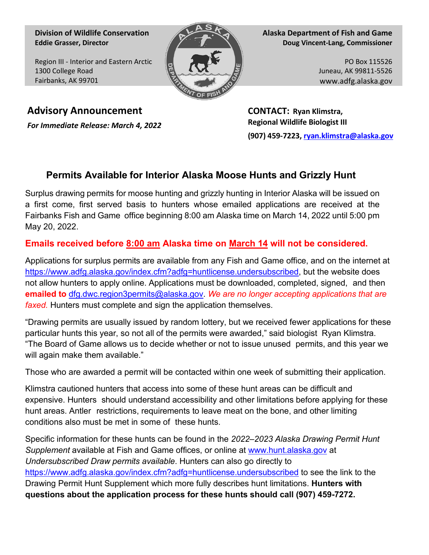**Division of Wildlife Conservation Eddie Grasser, Director**

Region III - Interior and Eastern Arctic 1300 College Road Fairbanks, AK 99701



**Alaska Department of Fish and Game Doug Vincent-Lang, Commissioner**

> PO Box 115526 Juneau, AK 99811-5526 www.adfg.alaska.gov

**Advisory Announcement CONTACT: Ryan Klimstra,** 

*For Immediate Release: March 4, 2022* **Regional Wildlife Biologist III (907) 459-7223[, ryan.klimstra@alaska.gov](mailto:ryan.klimstra@alaska.gov)**

## **Permits Available for Interior Alaska Moose Hunts and Grizzly Hunt**

Surplus drawing permits for moose hunting and grizzly hunting in Interior Alaska will be issued on a first come, first served basis to hunters whose emailed applications are received at the Fairbanks Fish and Game office beginning 8:00 am Alaska time on March 14, 2022 until 5:00 pm May 20, 2022.

## **Emails received before 8:00 am Alaska time on March 14 will not be considered.**

Applications for surplus permits are available from any Fish and Game office, and on the internet at [https://www.adfg.alaska.gov/index.cfm?adfg=huntlicense.undersubscribed,](https://www.adfg.alaska.gov/index.cfm?adfg=huntlicense.undersubscribed) but the website does not allow hunters to apply online. Applications must be downloaded, completed, signed, and then **emailed to** [dfg.dwc.region3permits@alaska.gov.](mailto:dfg.dwc.region3permits@alaska.gov) *We are no longer accepting applications that are faxed.* Hunters must complete and sign the application themselves.

"Drawing permits are usually issued by random lottery, but we received fewer applications for these particular hunts this year, so not all of the permits were awarded," said biologist Ryan Klimstra. "The Board of Game allows us to decide whether or not to issue unused permits, and this year we will again make them available."

Those who are awarded a permit will be contacted within one week of submitting their application.

Klimstra cautioned hunters that access into some of these hunt areas can be difficult and expensive. Hunters should understand accessibility and other limitations before applying for these hunt areas. Antler restrictions, requirements to leave meat on the bone, and other limiting conditions also must be met in some of these hunts.

Specific information for these hunts can be found in the *2022–2023 Alaska Drawing Permit Hunt Supplement* available at Fish and Game offices, or online at [www.hunt.alaska.gov](http://www.hunt.alaska.gov/) at *Undersubscribed Draw permits available*. Hunters can also go directly to <https://www.adfg.alaska.gov/index.cfm?adfg=huntlicense.undersubscribed> to see the link to the Drawing Permit Hunt Supplement which more fully describes hunt limitations. **Hunters with questions about the application process for these hunts should call (907) 459-7272.**